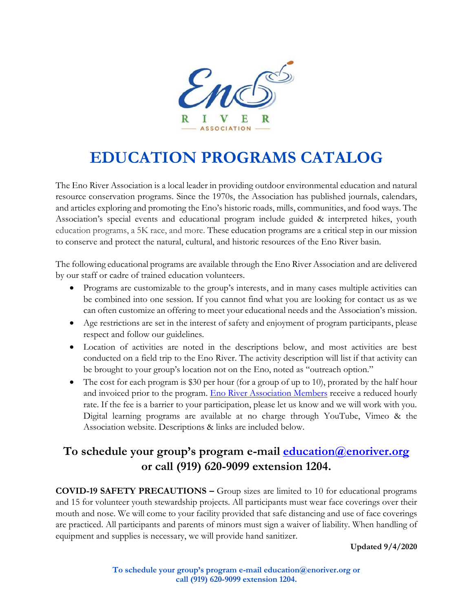

# **EDUCATION PROGRAMS CATALOG**

The Eno River Association is a local leader in providing outdoor environmental education and natural resource conservation programs. Since the 1970s, the Association has published journals, calendars, and articles exploring and promoting the Eno's historic roads, mills, communities, and food ways. The Association's special events and educational program include guided & interpreted hikes, youth education programs, a 5K race, and more. These education programs are a critical step in our mission to conserve and protect the natural, cultural, and historic resources of the Eno River basin.

The following educational programs are available through the Eno River Association and are delivered by our staff or cadre of trained education volunteers.

- Programs are customizable to the group's interests, and in many cases multiple activities can be combined into one session. If you cannot find what you are looking for contact us as we can often customize an offering to meet your educational needs and the Association's mission.
- Age restrictions are set in the interest of safety and enjoyment of program participants, please respect and follow our guidelines.
- Location of activities are noted in the descriptions below, and most activities are best conducted on a field trip to the Eno River. The activity description will list if that activity can be brought to your group's location not on the Eno, noted as "outreach option."
- The cost for each program is \$30 per hour (for a group of up to 10), prorated by the half hour and invoiced prior to the program. [Eno River Association Members](http://www.enoriver.org/donate) receive a reduced hourly rate. If the fee is a barrier to your participation, please let us know and we will work with you. Digital learning programs are available at no charge through YouTube, Vimeo & the Association website. Descriptions & links are included below.

### **To schedule your group's program e-mail [education@enoriver.org](mailto:education@enoriver.org) or call (919) 620-9099 extension 1204.**

**COVID-19 SAFETY PRECAUTIONS –** Group sizes are limited to 10 for educational programs and 15 for volunteer youth stewardship projects. All participants must wear face coverings over their mouth and nose. We will come to your facility provided that safe distancing and use of face coverings are practiced. All participants and parents of minors must sign a waiver of liability. When handling of equipment and supplies is necessary, we will provide hand sanitizer.

**Updated 9/4/2020**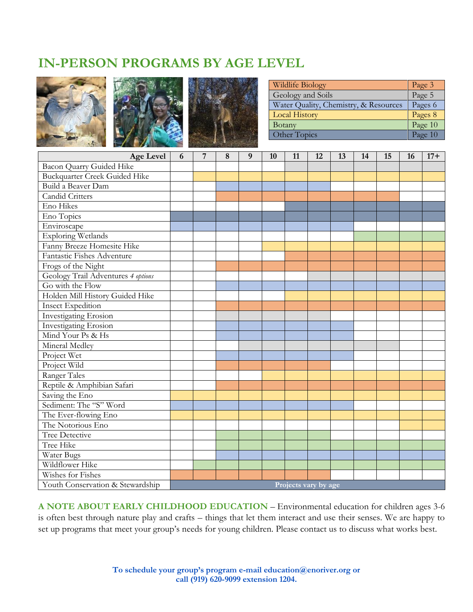### **IN-PERSON PROGRAMS BY AGE LEVEL**







| Wildlife Biology                      | Page 3  |
|---------------------------------------|---------|
| Geology and Soils                     | Page 5  |
| Water Quality, Chemistry, & Resources | Pages 6 |
| <b>Local History</b>                  | Pages 8 |
| Botany                                | Page 10 |
| Other Topics                          | Page 10 |

| <b>Age Level</b>                     | 6                    | $\overline{7}$ | 8 | 9 | 10 | 11 | 12 | 13 | 14 | 15 | 16 | $17+$ |
|--------------------------------------|----------------------|----------------|---|---|----|----|----|----|----|----|----|-------|
| Bacon Quarry Guided Hike             |                      |                |   |   |    |    |    |    |    |    |    |       |
| <b>Buckquarter Creek Guided Hike</b> |                      |                |   |   |    |    |    |    |    |    |    |       |
| Build a Beaver Dam                   |                      |                |   |   |    |    |    |    |    |    |    |       |
| <b>Candid Critters</b>               |                      |                |   |   |    |    |    |    |    |    |    |       |
| Eno Hikes                            |                      |                |   |   |    |    |    |    |    |    |    |       |
| Eno Topics                           |                      |                |   |   |    |    |    |    |    |    |    |       |
| Enviroscape                          |                      |                |   |   |    |    |    |    |    |    |    |       |
| <b>Exploring Wetlands</b>            |                      |                |   |   |    |    |    |    |    |    |    |       |
| Fanny Breeze Homesite Hike           |                      |                |   |   |    |    |    |    |    |    |    |       |
| Fantastic Fishes Adventure           |                      |                |   |   |    |    |    |    |    |    |    |       |
| Frogs of the Night                   |                      |                |   |   |    |    |    |    |    |    |    |       |
| Geology Trail Adventures 4 options   |                      |                |   |   |    |    |    |    |    |    |    |       |
| Go with the Flow                     |                      |                |   |   |    |    |    |    |    |    |    |       |
| Holden Mill History Guided Hike      |                      |                |   |   |    |    |    |    |    |    |    |       |
| <b>Insect Expedition</b>             |                      |                |   |   |    |    |    |    |    |    |    |       |
| <b>Investigating Erosion</b>         |                      |                |   |   |    |    |    |    |    |    |    |       |
| <b>Investigating Erosion</b>         |                      |                |   |   |    |    |    |    |    |    |    |       |
| Mind Your Ps & Hs                    |                      |                |   |   |    |    |    |    |    |    |    |       |
| Mineral Medley                       |                      |                |   |   |    |    |    |    |    |    |    |       |
| Project Wet                          |                      |                |   |   |    |    |    |    |    |    |    |       |
| Project Wild                         |                      |                |   |   |    |    |    |    |    |    |    |       |
| Ranger Tales                         |                      |                |   |   |    |    |    |    |    |    |    |       |
| Reptile & Amphibian Safari           |                      |                |   |   |    |    |    |    |    |    |    |       |
| Saving the Eno                       |                      |                |   |   |    |    |    |    |    |    |    |       |
| Sediment: The "S" Word               |                      |                |   |   |    |    |    |    |    |    |    |       |
| The Ever-flowing Eno                 |                      |                |   |   |    |    |    |    |    |    |    |       |
| The Notorious Eno                    |                      |                |   |   |    |    |    |    |    |    |    |       |
| Tree Detective                       |                      |                |   |   |    |    |    |    |    |    |    |       |
| Tree Hike                            |                      |                |   |   |    |    |    |    |    |    |    |       |
| Water Bugs                           |                      |                |   |   |    |    |    |    |    |    |    |       |
| Wildflower Hike                      |                      |                |   |   |    |    |    |    |    |    |    |       |
| Wishes for Fishes                    |                      |                |   |   |    |    |    |    |    |    |    |       |
| Youth Conservation & Stewardship     | Projects vary by age |                |   |   |    |    |    |    |    |    |    |       |

**A NOTE ABOUT EARLY CHILDHOOD EDUCATION** – Environmental education for children ages 3-6 is often best through nature play and crafts – things that let them interact and use their senses. We are happy to set up programs that meet your group's needs for young children. Please contact us to discuss what works best.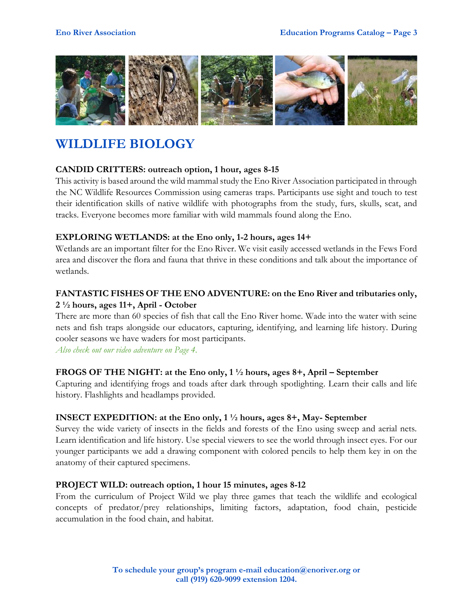

### **WILDLIFE BIOLOGY**

#### **CANDID CRITTERS: outreach option, 1 hour, ages 8-15**

This activity is based around the wild mammal study the Eno River Association participated in through the NC Wildlife Resources Commission using cameras traps. Participants use sight and touch to test their identification skills of native wildlife with photographs from the study, furs, skulls, scat, and tracks. Everyone becomes more familiar with wild mammals found along the Eno.

#### **EXPLORING WETLANDS: at the Eno only, 1-2 hours, ages 14+**

Wetlands are an important filter for the Eno River. We visit easily accessed wetlands in the Fews Ford area and discover the flora and fauna that thrive in these conditions and talk about the importance of wetlands.

#### **FANTASTIC FISHES OF THE ENO ADVENTURE: on the Eno River and tributaries only, 2 ½ hours, ages 11+, April - October**

There are more than 60 species of fish that call the Eno River home. Wade into the water with seine nets and fish traps alongside our educators, capturing, identifying, and learning life history. During cooler seasons we have waders for most participants.

*Also check out our video adventure on Page 4.*

#### **FROGS OF THE NIGHT: at the Eno only, 1 ½ hours, ages 8+, April – September**

Capturing and identifying frogs and toads after dark through spotlighting. Learn their calls and life history. Flashlights and headlamps provided.

#### **INSECT EXPEDITION: at the Eno only, 1 ½ hours, ages 8+, May- September**

Survey the wide variety of insects in the fields and forests of the Eno using sweep and aerial nets. Learn identification and life history. Use special viewers to see the world through insect eyes. For our younger participants we add a drawing component with colored pencils to help them key in on the anatomy of their captured specimens.

#### **PROJECT WILD: outreach option, 1 hour 15 minutes, ages 8-12**

From the curriculum of Project Wild we play three games that teach the wildlife and ecological concepts of predator/prey relationships, limiting factors, adaptation, food chain, pesticide accumulation in the food chain, and habitat.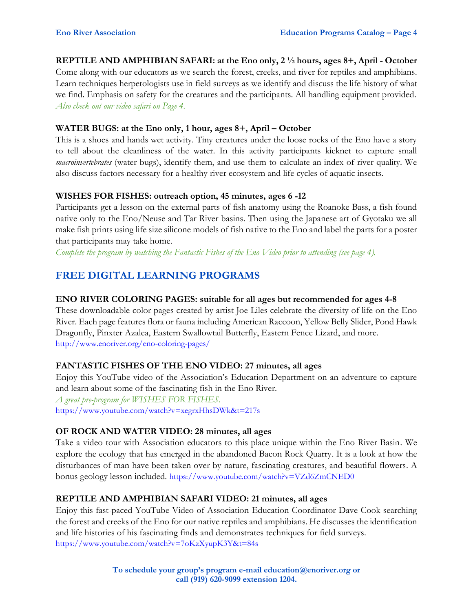#### **REPTILE AND AMPHIBIAN SAFARI: at the Eno only, 2 ½ hours, ages 8+, April - October**

Come along with our educators as we search the forest, creeks, and river for reptiles and amphibians. Learn techniques herpetologists use in field surveys as we identify and discuss the life history of what we find. Emphasis on safety for the creatures and the participants. All handling equipment provided. *Also check out our video safari on Page 4.*

#### **WATER BUGS: at the Eno only, 1 hour, ages 8+, April – October**

This is a shoes and hands wet activity. Tiny creatures under the loose rocks of the Eno have a story to tell about the cleanliness of the water. In this activity participants kicknet to capture small *macroinvertebrates* (water bugs), identify them, and use them to calculate an index of river quality. We also discuss factors necessary for a healthy river ecosystem and life cycles of aquatic insects.

#### **WISHES FOR FISHES: outreach option, 45 minutes, ages 6 -12**

Participants get a lesson on the external parts of fish anatomy using the Roanoke Bass, a fish found native only to the Eno/Neuse and Tar River basins. Then using the Japanese art of Gyotaku we all make fish prints using life size silicone models of fish native to the Eno and label the parts for a poster that participants may take home.

*Complete the program by watching the Fantastic Fishes of the Eno Video prior to attending (see page 4).*

### **FREE DIGITAL LEARNING PROGRAMS**

#### **ENO RIVER COLORING PAGES: suitable for all ages but recommended for ages 4-8**

These downloadable color pages created by artist Joe Liles celebrate the diversity of life on the Eno River. Each page features flora or fauna including American Raccoon, Yellow Belly Slider, Pond Hawk Dragonfly, Pinxter Azalea, Eastern Swallowtail Butterfly, Eastern Fence Lizard, and more. http://www.enoriver.org/eno-coloring-pages/

#### **FANTASTIC FISHES OF THE ENO VIDEO: 27 minutes, all ages**

Enjoy this YouTube video of the Association's Education Department on an adventure to capture and learn about some of the fascinating fish in the Eno River. *A great pre-program for WISHES FOR FISHES.* <https://www.youtube.com/watch?v=xegrxHhsDWk&t=217s>

#### **OF ROCK AND WATER VIDEO: 28 minutes, all ages**

Take a video tour with Association educators to this place unique within the Eno River Basin. We explore the ecology that has emerged in the abandoned Bacon Rock Quarry. It is a look at how the disturbances of man have been taken over by nature, fascinating creatures, and beautiful flowers. A bonus geology lesson included. <https://www.youtube.com/watch?v=VZd6ZmCNED0>

#### **REPTILE AND AMPHIBIAN SAFARI VIDEO: 21 minutes, all ages**

Enjoy this fast-paced YouTube Video of Association Education Coordinator Dave Cook searching the forest and creeks of the Eno for our native reptiles and amphibians. He discusses the identification and life histories of his fascinating finds and demonstrates techniques for field surveys. <https://www.youtube.com/watch?v=7oKzXyupK3Y&t=84s>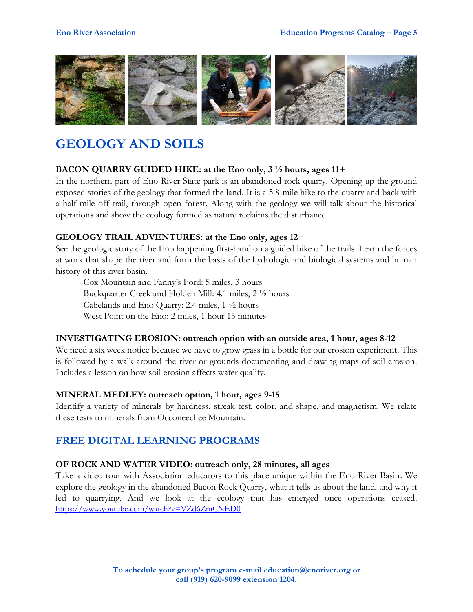

### **GEOLOGY AND SOILS**

#### **BACON QUARRY GUIDED HIKE: at the Eno only, 3 ½ hours, ages 11+**

In the northern part of Eno River State park is an abandoned rock quarry. Opening up the ground exposed stories of the geology that formed the land. It is a 5.8-mile hike to the quarry and back with a half mile off trail, through open forest. Along with the geology we will talk about the historical operations and show the ecology formed as nature reclaims the disturbance.

#### **GEOLOGY TRAIL ADVENTURES: at the Eno only, ages 12+**

See the geologic story of the Eno happening first-hand on a guided hike of the trails. Learn the forces at work that shape the river and form the basis of the hydrologic and biological systems and human history of this river basin.

Cox Mountain and Fanny's Ford: 5 miles, 3 hours Buckquarter Creek and Holden Mill: 4.1 miles, 2 ½ hours Cabelands and Eno Quarry: 2.4 miles, 1 ½ hours West Point on the Eno: 2 miles, 1 hour 15 minutes

#### **INVESTIGATING EROSION: outreach option with an outside area, 1 hour, ages 8-12**

We need a six week notice because we have to grow grass in a bottle for our erosion experiment. This is followed by a walk around the river or grounds documenting and drawing maps of soil erosion. Includes a lesson on how soil erosion affects water quality.

#### **MINERAL MEDLEY: outreach option, 1 hour, ages 9-15**

Identify a variety of minerals by hardness, streak test, color, and shape, and magnetism. We relate these tests to minerals from Occoneechee Mountain.

#### **FREE DIGITAL LEARNING PROGRAMS**

#### **OF ROCK AND WATER VIDEO: outreach only, 28 minutes, all ages**

Take a video tour with Association educators to this place unique within the Eno River Basin. We explore the geology in the abandoned Bacon Rock Quarry, what it tells us about the land, and why it led to quarrying. And we look at the ecology that has emerged once operations ceased. <https://www.youtube.com/watch?v=VZd6ZmCNED0>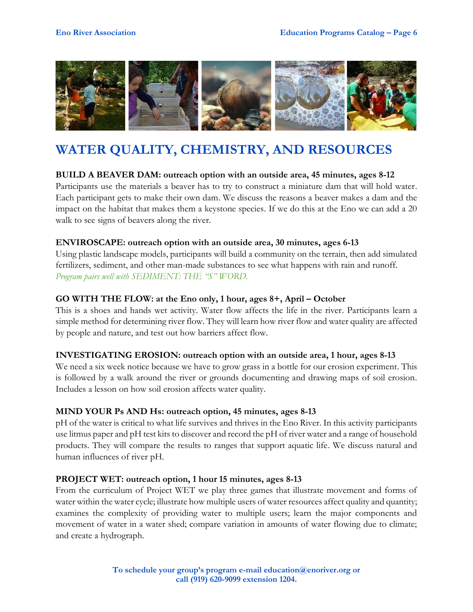

### **WATER QUALITY, CHEMISTRY, AND RESOURCES**

#### **BUILD A BEAVER DAM: outreach option with an outside area, 45 minutes, ages 8-12**

Participants use the materials a beaver has to try to construct a miniature dam that will hold water. Each participant gets to make their own dam. We discuss the reasons a beaver makes a dam and the impact on the habitat that makes them a keystone species. If we do this at the Eno we can add a 20 walk to see signs of beavers along the river.

#### **ENVIROSCAPE: outreach option with an outside area, 30 minutes, ages 6-13**

Using plastic landscape models, participants will build a community on the terrain, then add simulated fertilizers, sediment, and other man-made substances to see what happens with rain and runoff. *Program pairs well with SEDIMENT: THE "S" WORD.*

#### **GO WITH THE FLOW: at the Eno only, 1 hour, ages 8+, April – October**

This is a shoes and hands wet activity. Water flow affects the life in the river. Participants learn a simple method for determining river flow. They will learn how river flow and water quality are affected by people and nature, and test out how barriers affect flow.

#### **INVESTIGATING EROSION: outreach option with an outside area, 1 hour, ages 8-13**

We need a six week notice because we have to grow grass in a bottle for our erosion experiment. This is followed by a walk around the river or grounds documenting and drawing maps of soil erosion. Includes a lesson on how soil erosion affects water quality.

#### **MIND YOUR Ps AND Hs: outreach option, 45 minutes, ages 8-13**

pH of the water is critical to what life survives and thrives in the Eno River. In this activity participants use litmus paper and pH test kits to discover and record the pH of river water and a range of household products. They will compare the results to ranges that support aquatic life. We discuss natural and human influences of river pH.

#### **PROJECT WET: outreach option, 1 hour 15 minutes, ages 8-13**

From the curriculum of Project WET we play three games that illustrate movement and forms of water within the water cycle; illustrate how multiple users of water resources affect quality and quantity; examines the complexity of providing water to multiple users; learn the major components and movement of water in a water shed; compare variation in amounts of water flowing due to climate; and create a hydrograph.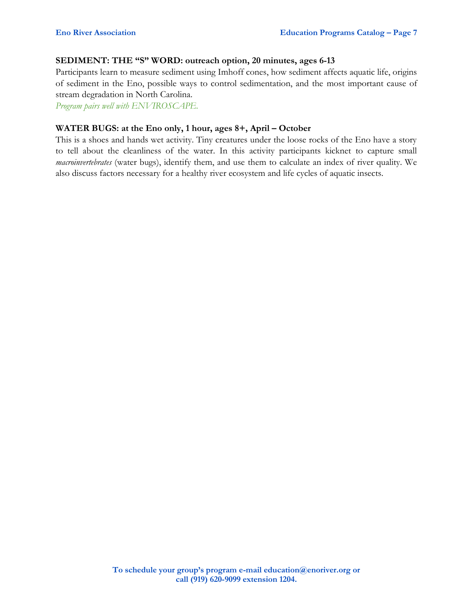#### **SEDIMENT: THE "S" WORD: outreach option, 20 minutes, ages 6-13**

Participants learn to measure sediment using Imhoff cones, how sediment affects aquatic life, origins of sediment in the Eno, possible ways to control sedimentation, and the most important cause of stream degradation in North Carolina.

*Program pairs well with ENVIROSCAPE.*

#### **WATER BUGS: at the Eno only, 1 hour, ages 8+, April – October**

This is a shoes and hands wet activity. Tiny creatures under the loose rocks of the Eno have a story to tell about the cleanliness of the water. In this activity participants kicknet to capture small *macroinvertebrates* (water bugs), identify them, and use them to calculate an index of river quality. We also discuss factors necessary for a healthy river ecosystem and life cycles of aquatic insects.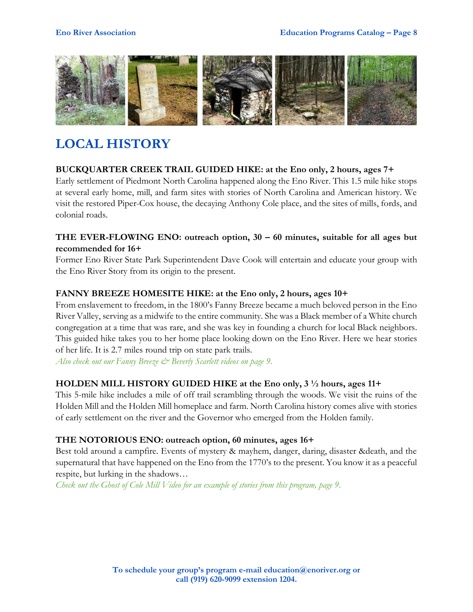

### **LOCAL HISTORY**

#### **BUCKQUARTER CREEK TRAIL GUIDED HIKE: at the Eno only, 2 hours, ages 7+**

Early settlement of Piedmont North Carolina happened along the Eno River. This 1.5 mile hike stops at several early home, mill, and farm sites with stories of North Carolina and American history. We visit the restored Piper-Cox house, the decaying Anthony Cole place, and the sites of mills, fords, and colonial roads.

#### **THE EVER-FLOWING ENO: outreach option, 30 – 60 minutes, suitable for all ages but recommended for 16+**

Former Eno River State Park Superintendent Dave Cook will entertain and educate your group with the Eno River Story from its origin to the present.

#### **FANNY BREEZE HOMESITE HIKE: at the Eno only, 2 hours, ages 10+**

From enslavement to freedom, in the 1800's Fanny Breeze became a much beloved person in the Eno River Valley, serving as a midwife to the entire community. She was a Black member of a White church congregation at a time that was rare, and she was key in founding a church for local Black neighbors. This guided hike takes you to her home place looking down on the Eno River. Here we hear stories of her life. It is 2.7 miles round trip on state park trails.

*Also check out our Fanny Breeze & Beverly Scarlett videos on page 9.*

#### **HOLDEN MILL HISTORY GUIDED HIKE at the Eno only, 3 ½ hours, ages 11+**

This 5-mile hike includes a mile of off trail scrambling through the woods. We visit the ruins of the Holden Mill and the Holden Mill homeplace and farm. North Carolina history comes alive with stories of early settlement on the river and the Governor who emerged from the Holden family.

#### **THE NOTORIOUS ENO: outreach option, 60 minutes, ages 16+**

Best told around a campfire. Events of mystery & mayhem, danger, daring, disaster &death, and the supernatural that have happened on the Eno from the 1770's to the present. You know it as a peaceful respite, but lurking in the shadows…

*Check out the Ghost of Cole Mill Video for an example of stories from this program, page 9.*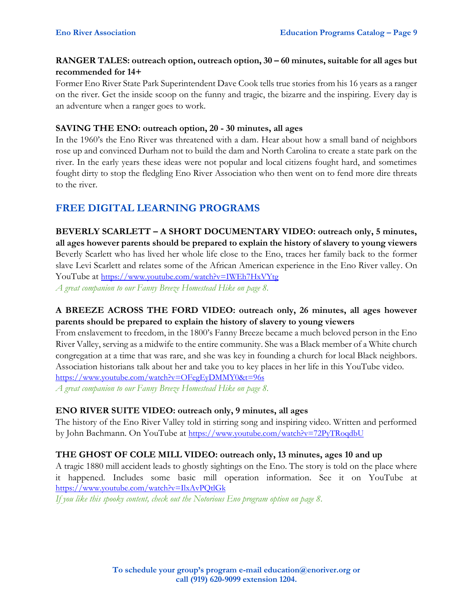#### **RANGER TALES: outreach option, outreach option, 30 – 60 minutes, suitable for all ages but recommended for 14+**

Former Eno River State Park Superintendent Dave Cook tells true stories from his 16 years as a ranger on the river. Get the inside scoop on the funny and tragic, the bizarre and the inspiring. Every day is an adventure when a ranger goes to work.

#### **SAVING THE ENO: outreach option, 20 - 30 minutes, all ages**

In the 1960's the Eno River was threatened with a dam. Hear about how a small band of neighbors rose up and convinced Durham not to build the dam and North Carolina to create a state park on the river. In the early years these ideas were not popular and local citizens fought hard, and sometimes fought dirty to stop the fledgling Eno River Association who then went on to fend more dire threats to the river.

#### **FREE DIGITAL LEARNING PROGRAMS**

**BEVERLY SCARLETT – A SHORT DOCUMENTARY VIDEO: outreach only, 5 minutes, all ages however parents should be prepared to explain the history of slavery to young viewers** Beverly Scarlett who has lived her whole life close to the Eno, traces her family back to the former slave Levi Scarlett and relates some of the African American experience in the Eno River valley. On YouTube at <https://www.youtube.com/watch?v=IWEh7HxVYtg> *A great companion to our Fanny Breeze Homestead Hike on page 8.*

#### **A BREEZE ACROSS THE FORD VIDEO: outreach only, 26 minutes, all ages however parents should be prepared to explain the history of slavery to young viewers**

From enslavement to freedom, in the 1800's Fanny Breeze became a much beloved person in the Eno River Valley, serving as a midwife to the entire community. She was a Black member of a White church congregation at a time that was rare, and she was key in founding a church for local Black neighbors. Association historians talk about her and take you to key places in her life in this YouTube video. <https://www.youtube.com/watch?v=OFegEyDMMY0&t=96s> *A great companion to our Fanny Breeze Homestead Hike on page 8.*

#### **ENO RIVER SUITE VIDEO: outreach only, 9 minutes, all ages**

The history of the Eno River Valley told in stirring song and inspiring video. Written and performed by John Bachmann. On YouTube at <https://www.youtube.com/watch?v=72PyTRoqdbU>

#### **THE GHOST OF COLE MILL VIDEO: outreach only, 13 minutes, ages 10 and up**

A tragic 1880 mill accident leads to ghostly sightings on the Eno. The story is told on the place where it happened. Includes some basic mill operation information. See it on YouTube at <https://www.youtube.com/watch?v=IlxAvPQtlGk>

*If you like this spooky content, check out the Notorious Eno program option on page 8.*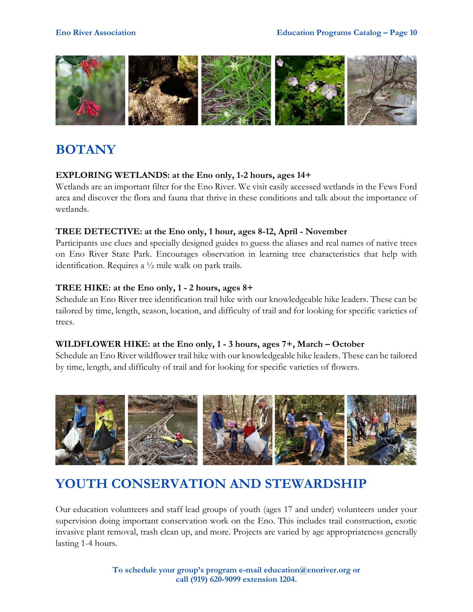

## **BOTANY**

#### **EXPLORING WETLANDS: at the Eno only, 1-2 hours, ages 14+**

Wetlands are an important filter for the Eno River. We visit easily accessed wetlands in the Fews Ford area and discover the flora and fauna that thrive in these conditions and talk about the importance of wetlands.

#### **TREE DETECTIVE: at the Eno only, 1 hour, ages 8-12, April - November**

Participants use clues and specially designed guides to guess the aliases and real names of native trees on Eno River State Park. Encourages observation in learning tree characteristics that help with identification. Requires a ½ mile walk on park trails.

#### **TREE HIKE: at the Eno only, 1 - 2 hours, ages 8+**

Schedule an Eno River tree identification trail hike with our knowledgeable hike leaders. These can be tailored by time, length, season, location, and difficulty of trail and for looking for specific varieties of trees.

#### **WILDFLOWER HIKE: at the Eno only, 1 - 3 hours, ages 7+, March – October**

Schedule an Eno River wildflower trail hike with our knowledgeable hike leaders. These can be tailored by time, length, and difficulty of trail and for looking for specific varieties of flowers.



### **YOUTH CONSERVATION AND STEWARDSHIP**

Our education volunteers and staff lead groups of youth (ages 17 and under) volunteers under your supervision doing important conservation work on the Eno. This includes trail construction, exotic invasive plant removal, trash clean up, and more. Projects are varied by age appropriateness generally lasting 1-4 hours.

> **To schedule your group's program e-mail education@enoriver.org or call (919) 620-9099 extension 1204.**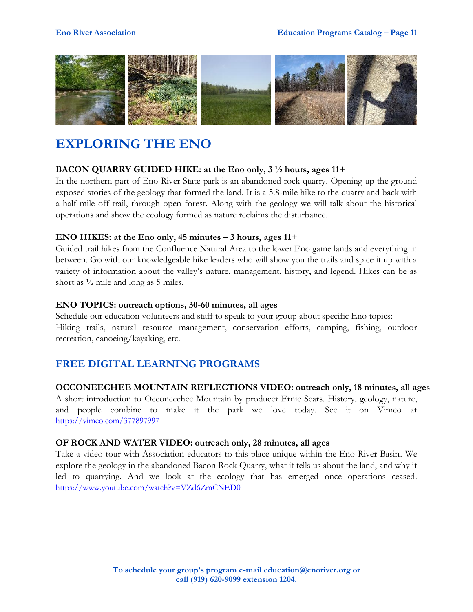

### **EXPLORING THE ENO**

#### **BACON QUARRY GUIDED HIKE: at the Eno only, 3 ½ hours, ages 11+**

In the northern part of Eno River State park is an abandoned rock quarry. Opening up the ground exposed stories of the geology that formed the land. It is a 5.8-mile hike to the quarry and back with a half mile off trail, through open forest. Along with the geology we will talk about the historical operations and show the ecology formed as nature reclaims the disturbance.

#### **ENO HIKES: at the Eno only, 45 minutes – 3 hours, ages 11+**

Guided trail hikes from the Confluence Natural Area to the lower Eno game lands and everything in between. Go with our knowledgeable hike leaders who will show you the trails and spice it up with a variety of information about the valley's nature, management, history, and legend. Hikes can be as short as ½ mile and long as 5 miles.

#### **ENO TOPICS: outreach options, 30-60 minutes, all ages**

Schedule our education volunteers and staff to speak to your group about specific Eno topics: Hiking trails, natural resource management, conservation efforts, camping, fishing, outdoor recreation, canoeing/kayaking, etc.

#### **FREE DIGITAL LEARNING PROGRAMS**

#### **OCCONEECHEE MOUNTAIN REFLECTIONS VIDEO: outreach only, 18 minutes, all ages**

A short introduction to Occoneechee Mountain by producer Ernie Sears. History, geology, nature, and people combine to make it the park we love today. See it on Vimeo at <https://vimeo.com/377897997>

#### **OF ROCK AND WATER VIDEO: outreach only, 28 minutes, all ages**

Take a video tour with Association educators to this place unique within the Eno River Basin. We explore the geology in the abandoned Bacon Rock Quarry, what it tells us about the land, and why it led to quarrying. And we look at the ecology that has emerged once operations ceased. <https://www.youtube.com/watch?v=VZd6ZmCNED0>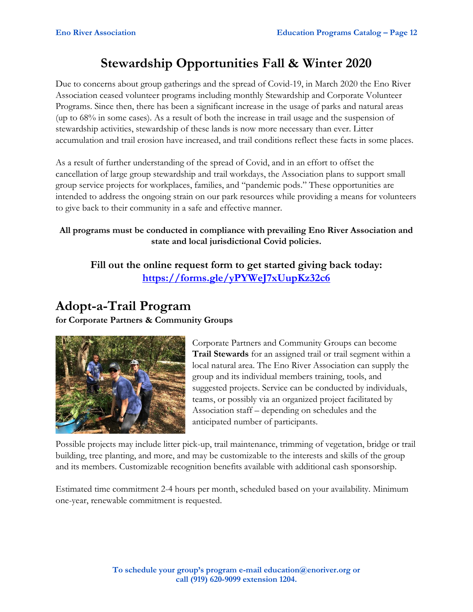### **Stewardship Opportunities Fall & Winter 2020**

Due to concerns about group gatherings and the spread of Covid-19, in March 2020 the Eno River Association ceased volunteer programs including monthly Stewardship and Corporate Volunteer Programs. Since then, there has been a significant increase in the usage of parks and natural areas (up to 68% in some cases). As a result of both the increase in trail usage and the suspension of stewardship activities, stewardship of these lands is now more necessary than ever. Litter accumulation and trail erosion have increased, and trail conditions reflect these facts in some places.

As a result of further understanding of the spread of Covid, and in an effort to offset the cancellation of large group stewardship and trail workdays, the Association plans to support small group service projects for workplaces, families, and "pandemic pods." These opportunities are intended to address the ongoing strain on our park resources while providing a means for volunteers to give back to their community in a safe and effective manner.

#### **All programs must be conducted in compliance with prevailing Eno River Association and state and local jurisdictional Covid policies.**

**Fill out the online request form to get started giving back today: <https://forms.gle/yPYWeJ7xUupKz32c6>**

### **Adopt-a-Trail Program**

**for Corporate Partners & Community Groups**



Corporate Partners and Community Groups can become **Trail Stewards** for an assigned trail or trail segment within a local natural area. The Eno River Association can supply the group and its individual members training, tools, and suggested projects. Service can be conducted by individuals, teams, or possibly via an organized project facilitated by Association staff – depending on schedules and the anticipated number of participants.

Possible projects may include litter pick-up, trail maintenance, trimming of vegetation, bridge or trail building, tree planting, and more, and may be customizable to the interests and skills of the group and its members. Customizable recognition benefits available with additional cash sponsorship.

Estimated time commitment 2-4 hours per month, scheduled based on your availability. Minimum one-year, renewable commitment is requested.